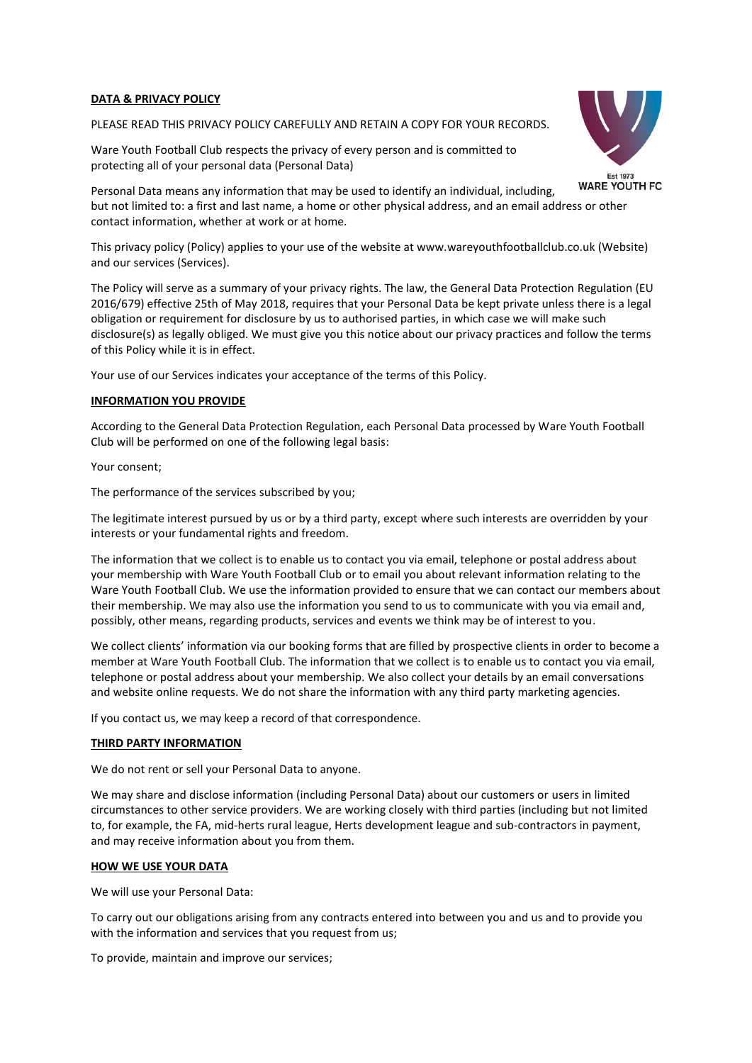# **DATA & PRIVACY POLICY**

# PLEASE READ THIS PRIVACY POLICY CAREFULLY AND RETAIN A COPY FOR YOUR RECORDS.

Ware Youth Football Club respects the privacy of every person and is committed to protecting all of your personal data (Personal Data)



Personal Data means any information that may be used to identify an individual, including, but not limited to: a first and last name, a home or other physical address, and an email address or other contact information, whether at work or at home.

This privacy policy (Policy) applies to your use of the website at www.wareyouthfootballclub.co.uk (Website) and our services (Services).

The Policy will serve as a summary of your privacy rights. The law, the General Data Protection Regulation (EU 2016/679) effective 25th of May 2018, requires that your Personal Data be kept private unless there is a legal obligation or requirement for disclosure by us to authorised parties, in which case we will make such disclosure(s) as legally obliged. We must give you this notice about our privacy practices and follow the terms of this Policy while it is in effect.

Your use of our Services indicates your acceptance of the terms of this Policy.

## **INFORMATION YOU PROVIDE**

According to the General Data Protection Regulation, each Personal Data processed by Ware Youth Football Club will be performed on one of the following legal basis:

Your consent;

The performance of the services subscribed by you;

The legitimate interest pursued by us or by a third party, except where such interests are overridden by your interests or your fundamental rights and freedom.

The information that we collect is to enable us to contact you via email, telephone or postal address about your membership with Ware Youth Football Club or to email you about relevant information relating to the Ware Youth Football Club. We use the information provided to ensure that we can contact our members about their membership. We may also use the information you send to us to communicate with you via email and, possibly, other means, regarding products, services and events we think may be of interest to you.

We collect clients' information via our booking forms that are filled by prospective clients in order to become a member at Ware Youth Football Club. The information that we collect is to enable us to contact you via email, telephone or postal address about your membership. We also collect your details by an email conversations and website online requests. We do not share the information with any third party marketing agencies.

If you contact us, we may keep a record of that correspondence.

# **THIRD PARTY INFORMATION**

We do not rent or sell your Personal Data to anyone.

We may share and disclose information (including Personal Data) about our customers or users in limited circumstances to other service providers. We are working closely with third parties (including but not limited to, for example, the FA, mid-herts rural league, Herts development league and sub-contractors in payment, and may receive information about you from them.

#### **HOW WE USE YOUR DATA**

We will use your Personal Data:

To carry out our obligations arising from any contracts entered into between you and us and to provide you with the information and services that you request from us;

To provide, maintain and improve our services;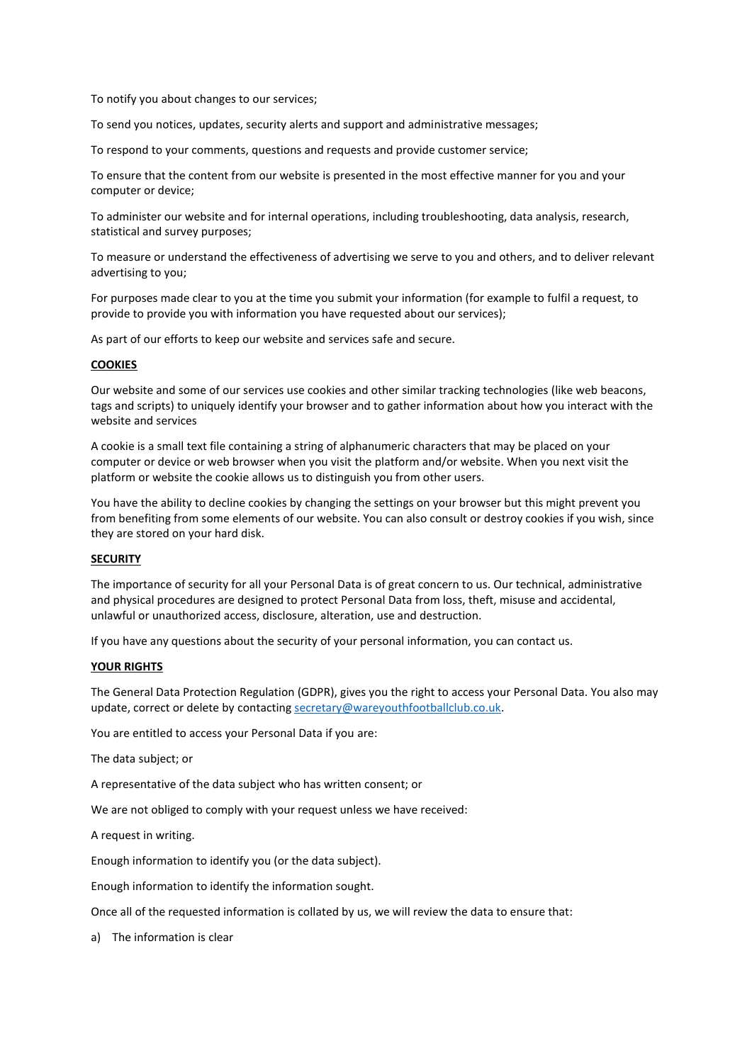To notify you about changes to our services;

To send you notices, updates, security alerts and support and administrative messages;

To respond to your comments, questions and requests and provide customer service;

To ensure that the content from our website is presented in the most effective manner for you and your computer or device;

To administer our website and for internal operations, including troubleshooting, data analysis, research, statistical and survey purposes;

To measure or understand the effectiveness of advertising we serve to you and others, and to deliver relevant advertising to you;

For purposes made clear to you at the time you submit your information (for example to fulfil a request, to provide to provide you with information you have requested about our services);

As part of our efforts to keep our website and services safe and secure.

#### **COOKIES**

Our website and some of our services use cookies and other similar tracking technologies (like web beacons, tags and scripts) to uniquely identify your browser and to gather information about how you interact with the website and services

A cookie is a small text file containing a string of alphanumeric characters that may be placed on your computer or device or web browser when you visit the platform and/or website. When you next visit the platform or website the cookie allows us to distinguish you from other users.

You have the ability to decline cookies by changing the settings on your browser but this might prevent you from benefiting from some elements of our website. You can also consult or destroy cookies if you wish, since they are stored on your hard disk.

## **SECURITY**

The importance of security for all your Personal Data is of great concern to us. Our technical, administrative and physical procedures are designed to protect Personal Data from loss, theft, misuse and accidental, unlawful or unauthorized access, disclosure, alteration, use and destruction.

If you have any questions about the security of your personal information, you can contact us.

#### **YOUR RIGHTS**

The General Data Protection Regulation (GDPR), gives you the right to access your Personal Data. You also may update, correct or delete by contacting [secretary@wareyouthfootballclub.co.uk.](mailto:secretary@wareyouthfootballclub.co.uk)

You are entitled to access your Personal Data if you are:

The data subject; or

A representative of the data subject who has written consent; or

We are not obliged to comply with your request unless we have received:

A request in writing.

Enough information to identify you (or the data subject).

Enough information to identify the information sought.

Once all of the requested information is collated by us, we will review the data to ensure that:

a) The information is clear